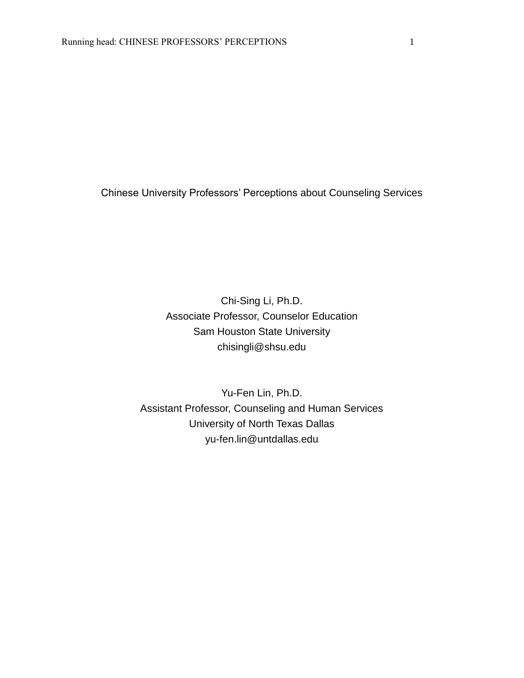Chinese University Professors' Perceptions about Counseling Services

Chi-Sing Li, Ph.D. Associate Professor, Counselor Education Sam Houston State University [chisingli@shsu.edu](mailto:chisingli@shsu.edu)

Yu-Fen Lin, Ph.D. Assistant Professor, Counseling and Human Services University of North Texas Dallas [yu-fen.lin@untdallas.edu](mailto:yu-fen.lin@untdallas.edu)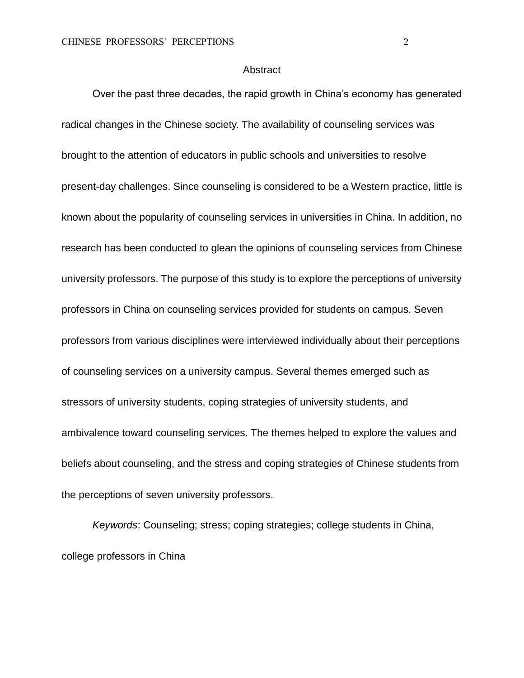#### Abstract

Over the past three decades, the rapid growth in China's economy has generated radical changes in the Chinese society. The availability of counseling services was brought to the attention of educators in public schools and universities to resolve present-day challenges. Since counseling is considered to be a Western practice, little is known about the popularity of counseling services in universities in China. In addition, no research has been conducted to glean the opinions of counseling services from Chinese university professors. The purpose of this study is to explore the perceptions of university professors in China on counseling services provided for students on campus. Seven professors from various disciplines were interviewed individually about their perceptions of counseling services on a university campus. Several themes emerged such as stressors of university students, coping strategies of university students, and ambivalence toward counseling services. The themes helped to explore the values and beliefs about counseling, and the stress and coping strategies of Chinese students from the perceptions of seven university professors.

*Keywords*: Counseling; stress; coping strategies; college students in China, college professors in China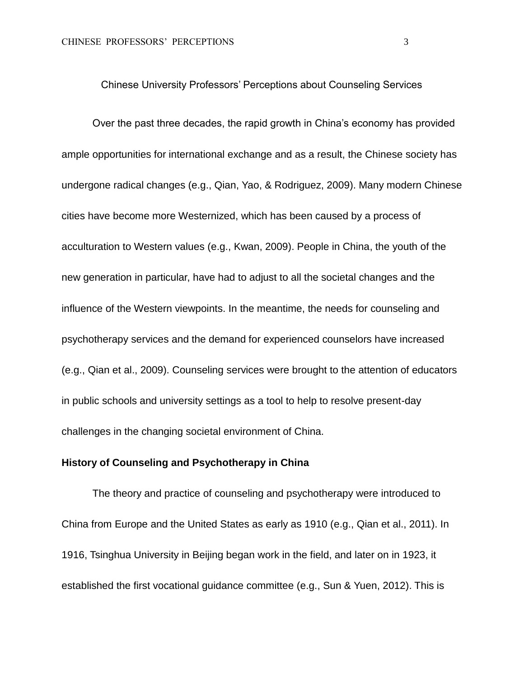Chinese University Professors' Perceptions about Counseling Services

Over the past three decades, the rapid growth in China's economy has provided ample opportunities for international exchange and as a result, the Chinese society has undergone radical changes (e.g., Qian, Yao, & Rodriguez, 2009). Many modern Chinese cities have become more Westernized, which has been caused by a process of acculturation to Western values (e.g., Kwan, 2009). People in China, the youth of the new generation in particular, have had to adjust to all the societal changes and the influence of the Western viewpoints. In the meantime, the needs for counseling and psychotherapy services and the demand for experienced counselors have increased (e.g., Qian et al., 2009). Counseling services were brought to the attention of educators in public schools and university settings as a tool to help to resolve present-day challenges in the changing societal environment of China.

# **History of Counseling and Psychotherapy in China**

The theory and practice of counseling and psychotherapy were introduced to China from Europe and the United States as early as 1910 (e.g., Qian et al., 2011). In 1916, Tsinghua University in Beijing began work in the field, and later on in 1923, it established the first vocational guidance committee (e.g., Sun & Yuen, 2012). This is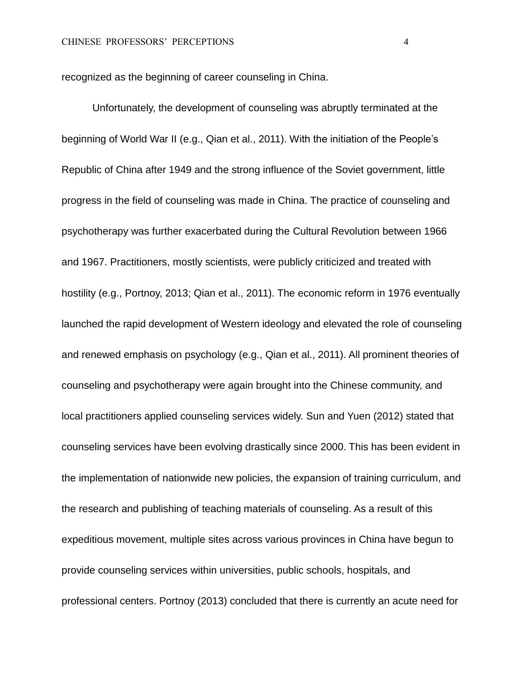recognized as the beginning of career counseling in China.

Unfortunately, the development of counseling was abruptly terminated at the beginning of World War II (e.g., Qian et al., 2011). With the initiation of the People's Republic of China after 1949 and the strong influence of the Soviet government, little progress in the field of counseling was made in China. The practice of counseling and psychotherapy was further exacerbated during the Cultural Revolution between 1966 and 1967. Practitioners, mostly scientists, were publicly criticized and treated with hostility (e.g., Portnoy, 2013; Qian et al., 2011). The economic reform in 1976 eventually launched the rapid development of Western ideology and elevated the role of counseling and renewed emphasis on psychology (e.g., Qian et al., 2011). All prominent theories of counseling and psychotherapy were again brought into the Chinese community, and local practitioners applied counseling services widely. Sun and Yuen (2012) stated that counseling services have been evolving drastically since 2000. This has been evident in the implementation of nationwide new policies, the expansion of training curriculum, and the research and publishing of teaching materials of counseling. As a result of this expeditious movement, multiple sites across various provinces in China have begun to provide counseling services within universities, public schools, hospitals, and professional centers. Portnoy (2013) concluded that there is currently an acute need for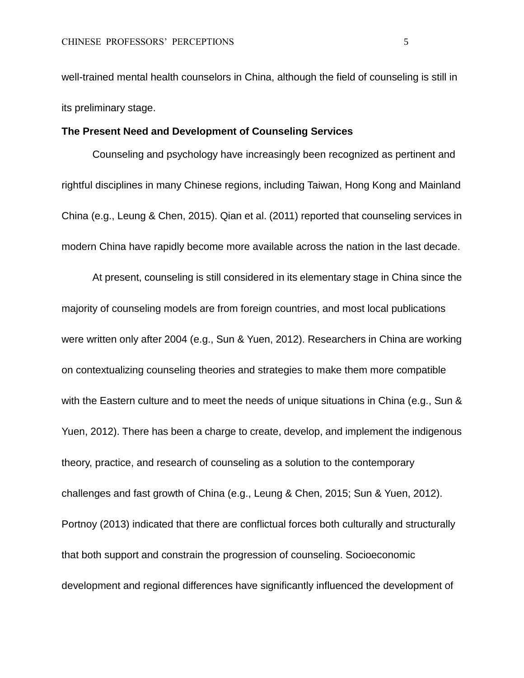well-trained mental health counselors in China, although the field of counseling is still in its preliminary stage.

#### **The Present Need and Development of Counseling Services**

Counseling and psychology have increasingly been recognized as pertinent and rightful disciplines in many Chinese regions, including Taiwan, Hong Kong and Mainland China (e.g., Leung & Chen, 2015). Qian et al. (2011) reported that counseling services in modern China have rapidly become more available across the nation in the last decade.

At present, counseling is still considered in its elementary stage in China since the majority of counseling models are from foreign countries, and most local publications were written only after 2004 (e.g., Sun & Yuen, 2012). Researchers in China are working on contextualizing counseling theories and strategies to make them more compatible with the Eastern culture and to meet the needs of unique situations in China (e.g., Sun & Yuen, 2012). There has been a charge to create, develop, and implement the indigenous theory, practice, and research of counseling as a solution to the contemporary challenges and fast growth of China (e.g., Leung & Chen, 2015; Sun & Yuen, 2012). Portnoy (2013) indicated that there are conflictual forces both culturally and structurally that both support and constrain the progression of counseling. Socioeconomic development and regional differences have significantly influenced the development of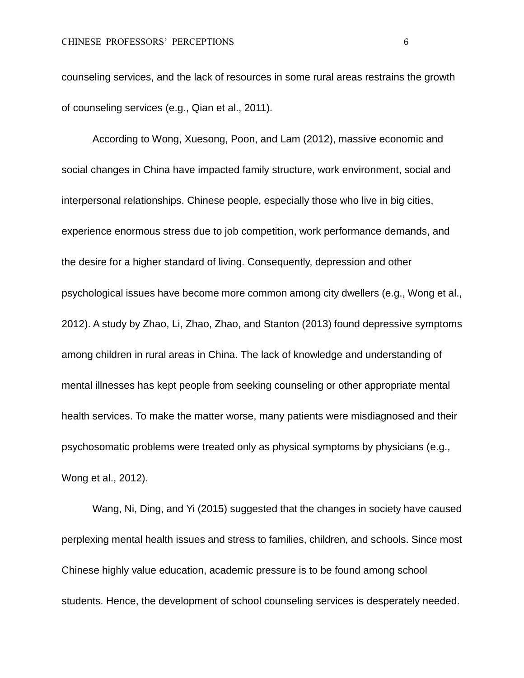counseling services, and the lack of resources in some rural areas restrains the growth of counseling services (e.g., Qian et al., 2011).

According to Wong, Xuesong, Poon, and Lam (2012), massive economic and social changes in China have impacted family structure, work environment, social and interpersonal relationships. Chinese people, especially those who live in big cities, experience enormous stress due to job competition, work performance demands, and the desire for a higher standard of living. Consequently, depression and other psychological issues have become more common among city dwellers (e.g., Wong et al., 2012). A study by Zhao, Li, Zhao, Zhao, and Stanton (2013) found depressive symptoms among children in rural areas in China. The lack of knowledge and understanding of mental illnesses has kept people from seeking counseling or other appropriate mental health services. To make the matter worse, many patients were misdiagnosed and their psychosomatic problems were treated only as physical symptoms by physicians (e.g., Wong et al., 2012).

Wang, Ni, Ding, and Yi (2015) suggested that the changes in society have caused perplexing mental health issues and stress to families, children, and schools. Since most Chinese highly value education, academic pressure is to be found among school students. Hence, the development of school counseling services is desperately needed.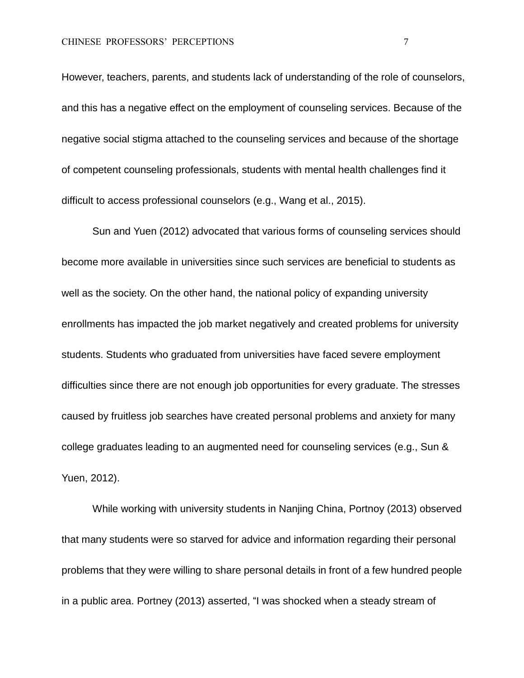However, teachers, parents, and students lack of understanding of the role of counselors, and this has a negative effect on the employment of counseling services. Because of the negative social stigma attached to the counseling services and because of the shortage of competent counseling professionals, students with mental health challenges find it difficult to access professional counselors (e.g., Wang et al., 2015).

Sun and Yuen (2012) advocated that various forms of counseling services should become more available in universities since such services are beneficial to students as well as the society. On the other hand, the national policy of expanding university enrollments has impacted the job market negatively and created problems for university students. Students who graduated from universities have faced severe employment difficulties since there are not enough job opportunities for every graduate. The stresses caused by fruitless job searches have created personal problems and anxiety for many college graduates leading to an augmented need for counseling services (e.g., Sun & Yuen, 2012).

While working with university students in Nanjing China, Portnoy (2013) observed that many students were so starved for advice and information regarding their personal problems that they were willing to share personal details in front of a few hundred people in a public area. Portney (2013) asserted, "I was shocked when a steady stream of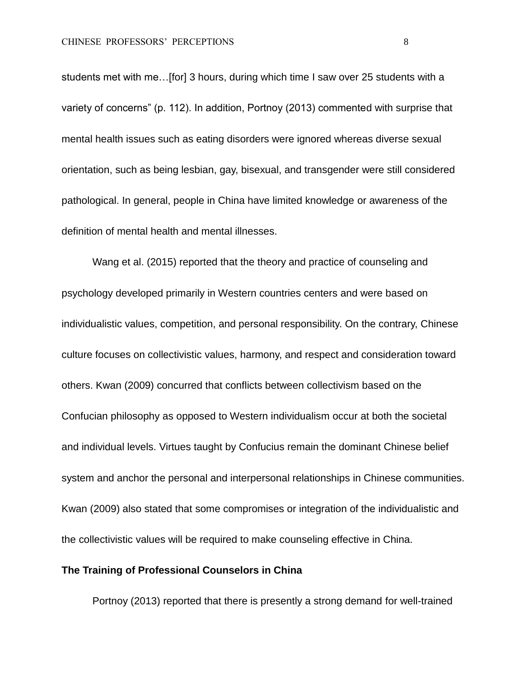students met with me…[for] 3 hours, during which time I saw over 25 students with a variety of concerns" (p. 112). In addition, Portnoy (2013) commented with surprise that mental health issues such as eating disorders were ignored whereas diverse sexual orientation, such as being lesbian, gay, bisexual, and transgender were still considered pathological. In general, people in China have limited knowledge or awareness of the definition of mental health and mental illnesses.

Wang et al. (2015) reported that the theory and practice of counseling and psychology developed primarily in Western countries centers and were based on individualistic values, competition, and personal responsibility. On the contrary, Chinese culture focuses on collectivistic values, harmony, and respect and consideration toward others. Kwan (2009) concurred that conflicts between collectivism based on the Confucian philosophy as opposed to Western individualism occur at both the societal and individual levels. Virtues taught by Confucius remain the dominant Chinese belief system and anchor the personal and interpersonal relationships in Chinese communities. Kwan (2009) also stated that some compromises or integration of the individualistic and the collectivistic values will be required to make counseling effective in China.

# **The Training of Professional Counselors in China**

Portnoy (2013) reported that there is presently a strong demand for well-trained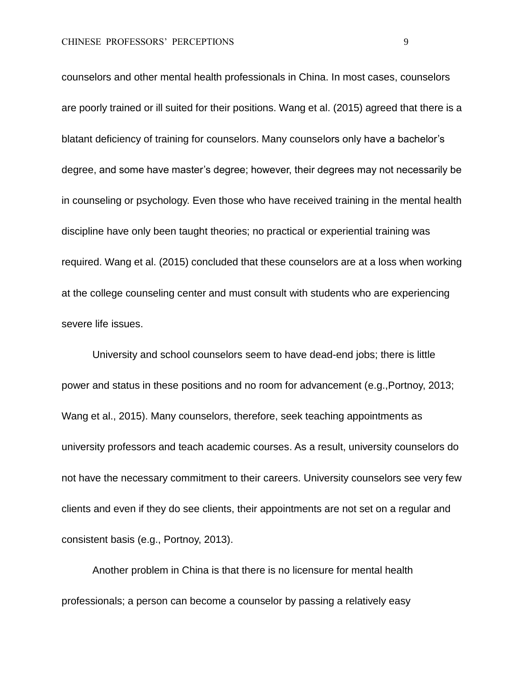counselors and other mental health professionals in China. In most cases, counselors are poorly trained or ill suited for their positions. Wang et al. (2015) agreed that there is a blatant deficiency of training for counselors. Many counselors only have a bachelor's degree, and some have master's degree; however, their degrees may not necessarily be in counseling or psychology. Even those who have received training in the mental health discipline have only been taught theories; no practical or experiential training was required. Wang et al. (2015) concluded that these counselors are at a loss when working at the college counseling center and must consult with students who are experiencing severe life issues.

University and school counselors seem to have dead-end jobs; there is little power and status in these positions and no room for advancement (e.g.,Portnoy, 2013; Wang et al., 2015). Many counselors, therefore, seek teaching appointments as university professors and teach academic courses. As a result, university counselors do not have the necessary commitment to their careers. University counselors see very few clients and even if they do see clients, their appointments are not set on a regular and consistent basis (e.g., Portnoy, 2013).

Another problem in China is that there is no licensure for mental health professionals; a person can become a counselor by passing a relatively easy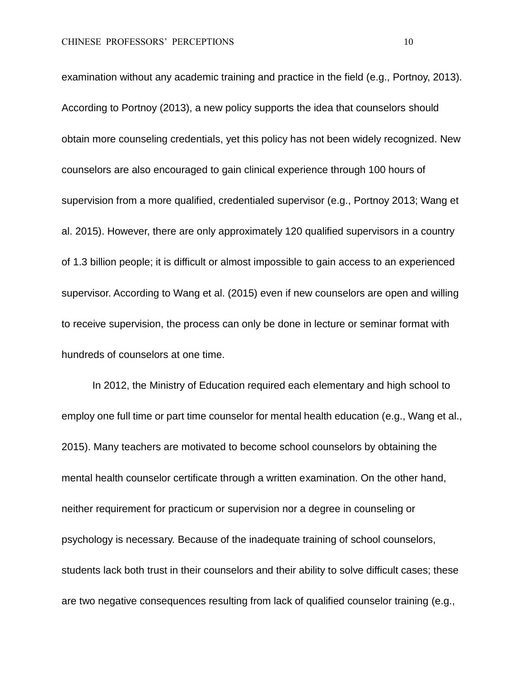examination without any academic training and practice in the field (e.g., Portnoy, 2013). According to Portnoy (2013), a new policy supports the idea that counselors should obtain more counseling credentials, yet this policy has not been widely recognized. New counselors are also encouraged to gain clinical experience through 100 hours of supervision from a more qualified, credentialed supervisor (e.g., Portnoy 2013; Wang et al. 2015). However, there are only approximately 120 qualified supervisors in a country of 1.3 billion people; it is difficult or almost impossible to gain access to an experienced supervisor. According to Wang et al. (2015) even if new counselors are open and willing to receive supervision, the process can only be done in lecture or seminar format with hundreds of counselors at one time.

In 2012, the Ministry of Education required each elementary and high school to employ one full time or part time counselor for mental health education (e.g., Wang et al., 2015). Many teachers are motivated to become school counselors by obtaining the mental health counselor certificate through a written examination. On the other hand, neither requirement for practicum or supervision nor a degree in counseling or psychology is necessary. Because of the inadequate training of school counselors, students lack both trust in their counselors and their ability to solve difficult cases; these are two negative consequences resulting from lack of qualified counselor training (e.g.,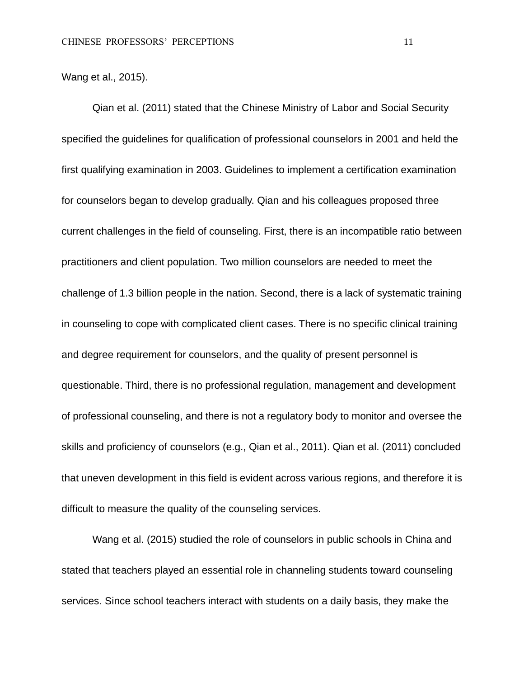Wang et al., 2015).

Qian et al. (2011) stated that the Chinese Ministry of Labor and Social Security specified the guidelines for qualification of professional counselors in 2001 and held the first qualifying examination in 2003. Guidelines to implement a certification examination for counselors began to develop gradually. Qian and his colleagues proposed three current challenges in the field of counseling. First, there is an incompatible ratio between practitioners and client population. Two million counselors are needed to meet the challenge of 1.3 billion people in the nation. Second, there is a lack of systematic training in counseling to cope with complicated client cases. There is no specific clinical training and degree requirement for counselors, and the quality of present personnel is questionable. Third, there is no professional regulation, management and development of professional counseling, and there is not a regulatory body to monitor and oversee the skills and proficiency of counselors (e.g., Qian et al., 2011). Qian et al. (2011) concluded that uneven development in this field is evident across various regions, and therefore it is difficult to measure the quality of the counseling services.

Wang et al. (2015) studied the role of counselors in public schools in China and stated that teachers played an essential role in channeling students toward counseling services. Since school teachers interact with students on a daily basis, they make the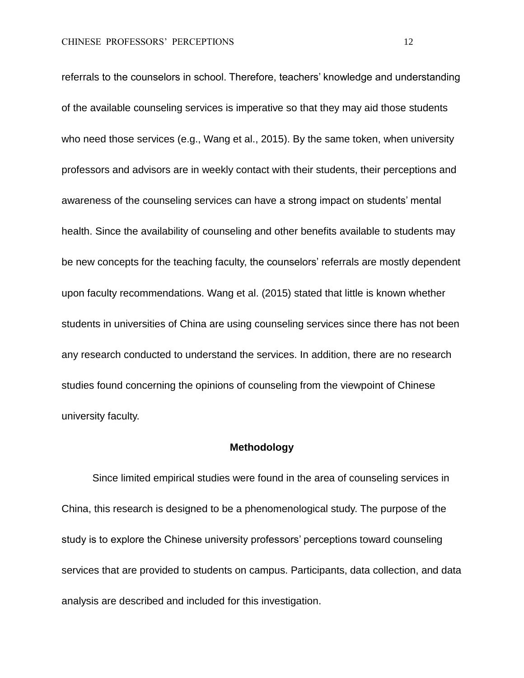referrals to the counselors in school. Therefore, teachers' knowledge and understanding of the available counseling services is imperative so that they may aid those students who need those services (e.g., Wang et al., 2015). By the same token, when university professors and advisors are in weekly contact with their students, their perceptions and awareness of the counseling services can have a strong impact on students' mental health. Since the availability of counseling and other benefits available to students may be new concepts for the teaching faculty, the counselors' referrals are mostly dependent upon faculty recommendations. Wang et al. (2015) stated that little is known whether students in universities of China are using counseling services since there has not been any research conducted to understand the services. In addition, there are no research studies found concerning the opinions of counseling from the viewpoint of Chinese university faculty.

# **Methodology**

Since limited empirical studies were found in the area of counseling services in China, this research is designed to be a phenomenological study. The purpose of the study is to explore the Chinese university professors' perceptions toward counseling services that are provided to students on campus. Participants, data collection, and data analysis are described and included for this investigation.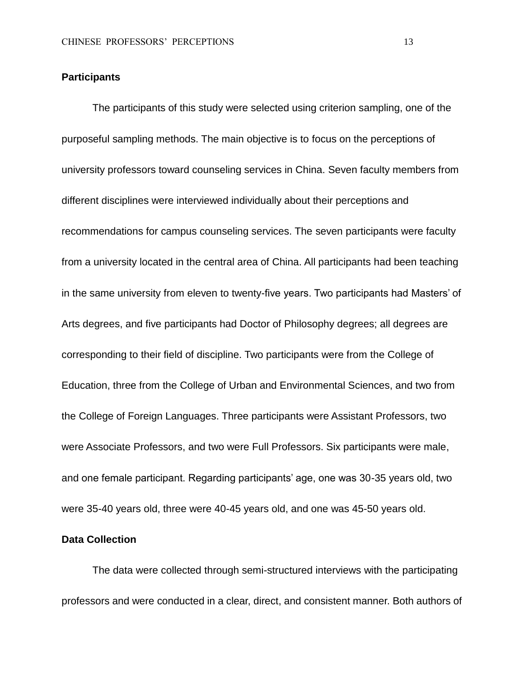#### **Participants**

The participants of this study were selected using criterion sampling, one of the purposeful sampling methods. The main objective is to focus on the perceptions of university professors toward counseling services in China. Seven faculty members from different disciplines were interviewed individually about their perceptions and recommendations for campus counseling services. The seven participants were faculty from a university located in the central area of China. All participants had been teaching in the same university from eleven to twenty-five years. Two participants had Masters' of Arts degrees, and five participants had Doctor of Philosophy degrees; all degrees are corresponding to their field of discipline. Two participants were from the College of Education, three from the College of Urban and Environmental Sciences, and two from the College of Foreign Languages. Three participants were Assistant Professors, two were Associate Professors, and two were Full Professors. Six participants were male, and one female participant. Regarding participants' age, one was 30-35 years old, two were 35-40 years old, three were 40-45 years old, and one was 45-50 years old.

### **Data Collection**

The data were collected through semi-structured interviews with the participating professors and were conducted in a clear, direct, and consistent manner. Both authors of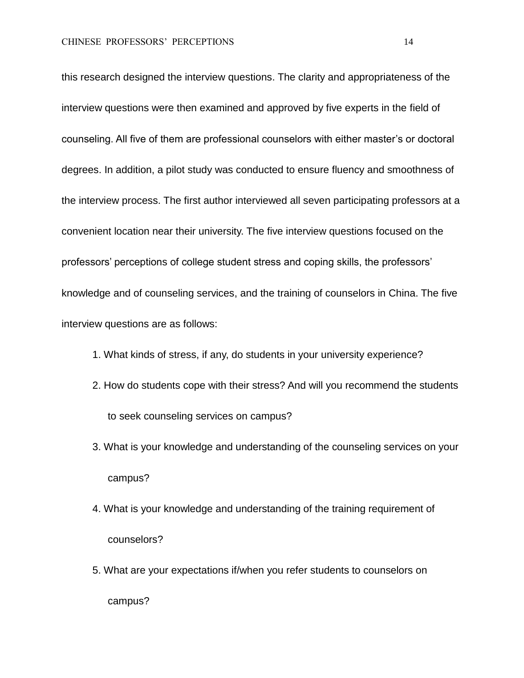this research designed the interview questions. The clarity and appropriateness of the interview questions were then examined and approved by five experts in the field of counseling. All five of them are professional counselors with either master's or doctoral degrees. In addition, a pilot study was conducted to ensure fluency and smoothness of the interview process. The first author interviewed all seven participating professors at a convenient location near their university. The five interview questions focused on the professors' perceptions of college student stress and coping skills, the professors' knowledge and of counseling services, and the training of counselors in China. The five interview questions are as follows:

- 1. What kinds of stress, if any, do students in your university experience?
- 2. How do students cope with their stress? And will you recommend the students to seek counseling services on campus?
- 3. What is your knowledge and understanding of the counseling services on your campus?
- 4. What is your knowledge and understanding of the training requirement of counselors?
- 5. What are your expectations if/when you refer students to counselors on campus?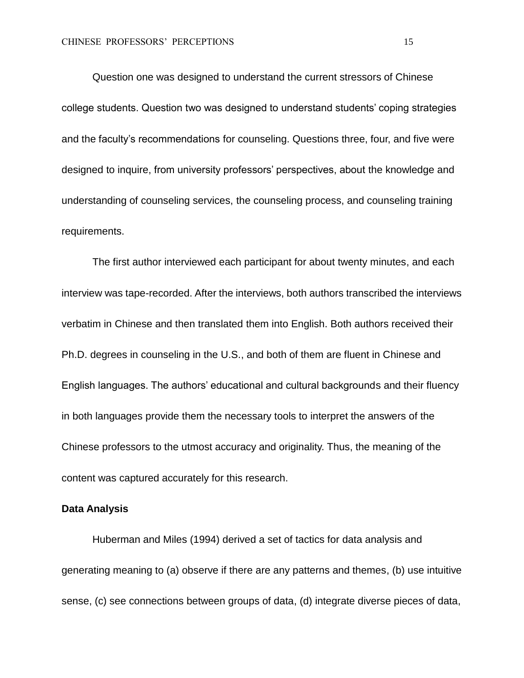Question one was designed to understand the current stressors of Chinese college students. Question two was designed to understand students' coping strategies and the faculty's recommendations for counseling. Questions three, four, and five were designed to inquire, from university professors' perspectives, about the knowledge and understanding of counseling services, the counseling process, and counseling training requirements.

The first author interviewed each participant for about twenty minutes, and each interview was tape-recorded. After the interviews, both authors transcribed the interviews verbatim in Chinese and then translated them into English. Both authors received their Ph.D. degrees in counseling in the U.S., and both of them are fluent in Chinese and English languages. The authors' educational and cultural backgrounds and their fluency in both languages provide them the necessary tools to interpret the answers of the Chinese professors to the utmost accuracy and originality. Thus, the meaning of the content was captured accurately for this research.

## **Data Analysis**

Huberman and Miles (1994) derived a set of tactics for data analysis and generating meaning to (a) observe if there are any patterns and themes, (b) use intuitive sense, (c) see connections between groups of data, (d) integrate diverse pieces of data,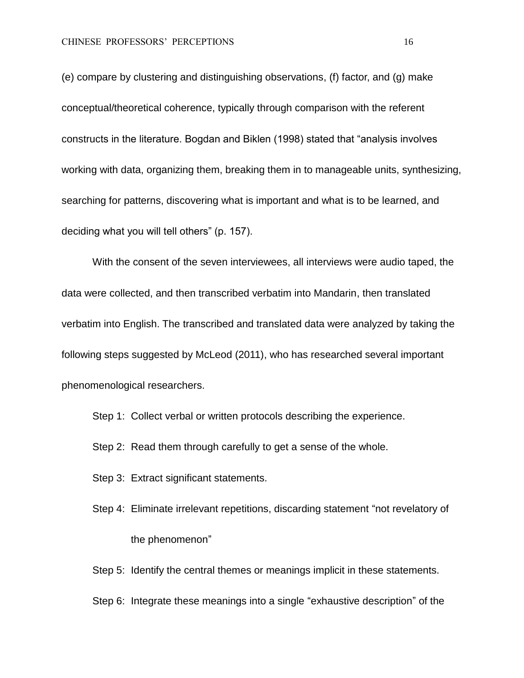(e) compare by clustering and distinguishing observations, (f) factor, and (g) make conceptual/theoretical coherence, typically through comparison with the referent constructs in the literature. Bogdan and Biklen (1998) stated that "analysis involves working with data, organizing them, breaking them in to manageable units, synthesizing, searching for patterns, discovering what is important and what is to be learned, and deciding what you will tell others" (p. 157).

With the consent of the seven interviewees, all interviews were audio taped, the data were collected, and then transcribed verbatim into Mandarin, then translated verbatim into English. The transcribed and translated data were analyzed by taking the following steps suggested by McLeod (2011), who has researched several important phenomenological researchers.

Step 1: Collect verbal or written protocols describing the experience.

- Step 2: Read them through carefully to get a sense of the whole.
- Step 3: Extract significant statements.
- Step 4: Eliminate irrelevant repetitions, discarding statement "not revelatory of the phenomenon"
- Step 5: Identify the central themes or meanings implicit in these statements.

Step 6: Integrate these meanings into a single "exhaustive description" of the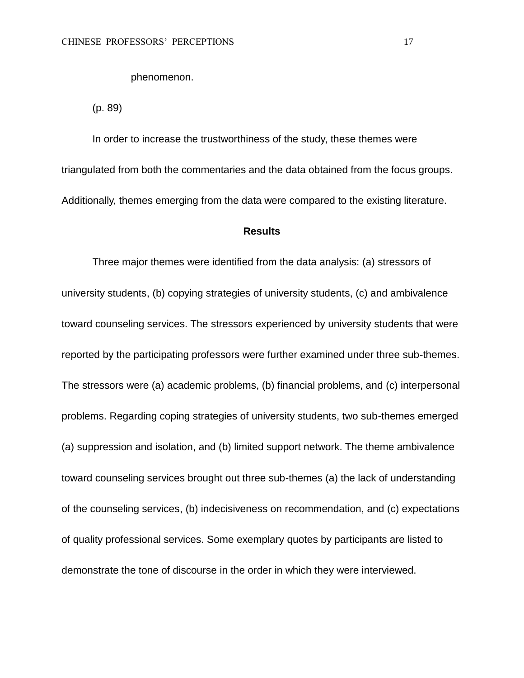#### phenomenon.

(p. 89)

In order to increase the trustworthiness of the study, these themes were triangulated from both the commentaries and the data obtained from the focus groups. Additionally, themes emerging from the data were compared to the existing literature.

### **Results**

Three major themes were identified from the data analysis: (a) stressors of university students, (b) copying strategies of university students, (c) and ambivalence toward counseling services. The stressors experienced by university students that were reported by the participating professors were further examined under three sub-themes. The stressors were (a) academic problems, (b) financial problems, and (c) interpersonal problems. Regarding coping strategies of university students, two sub-themes emerged (a) suppression and isolation, and (b) limited support network. The theme ambivalence toward counseling services brought out three sub-themes (a) the lack of understanding of the counseling services, (b) indecisiveness on recommendation, and (c) expectations of quality professional services. Some exemplary quotes by participants are listed to demonstrate the tone of discourse in the order in which they were interviewed.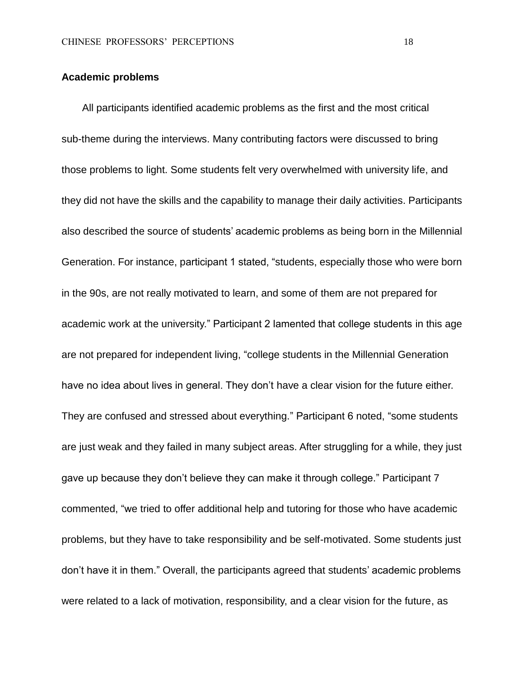# **Academic problems**

All participants identified academic problems as the first and the most critical sub-theme during the interviews. Many contributing factors were discussed to bring those problems to light. Some students felt very overwhelmed with university life, and they did not have the skills and the capability to manage their daily activities. Participants also described the source of students' academic problems as being born in the Millennial Generation. For instance, participant 1 stated, "students, especially those who were born in the 90s, are not really motivated to learn, and some of them are not prepared for academic work at the university." Participant 2 lamented that college students in this age are not prepared for independent living, "college students in the Millennial Generation have no idea about lives in general. They don't have a clear vision for the future either. They are confused and stressed about everything." Participant 6 noted, "some students are just weak and they failed in many subject areas. After struggling for a while, they just gave up because they don't believe they can make it through college." Participant 7 commented, "we tried to offer additional help and tutoring for those who have academic problems, but they have to take responsibility and be self-motivated. Some students just don't have it in them." Overall, the participants agreed that students' academic problems were related to a lack of motivation, responsibility, and a clear vision for the future, as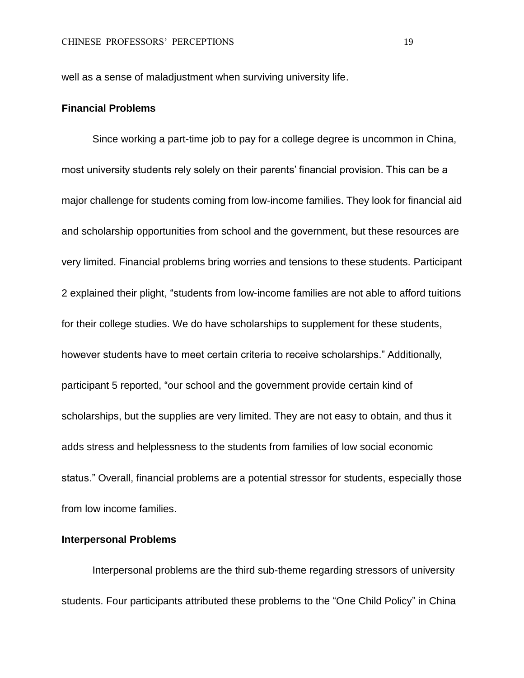well as a sense of maladjustment when surviving university life.

# **Financial Problems**

Since working a part-time job to pay for a college degree is uncommon in China, most university students rely solely on their parents' financial provision. This can be a major challenge for students coming from low-income families. They look for financial aid and scholarship opportunities from school and the government, but these resources are very limited. Financial problems bring worries and tensions to these students. Participant 2 explained their plight, "students from low-income families are not able to afford tuitions for their college studies. We do have scholarships to supplement for these students, however students have to meet certain criteria to receive scholarships." Additionally, participant 5 reported, "our school and the government provide certain kind of scholarships, but the supplies are very limited. They are not easy to obtain, and thus it adds stress and helplessness to the students from families of low social economic status." Overall, financial problems are a potential stressor for students, especially those from low income families.

#### **Interpersonal Problems**

Interpersonal problems are the third sub-theme regarding stressors of university students. Four participants attributed these problems to the "One Child Policy" in China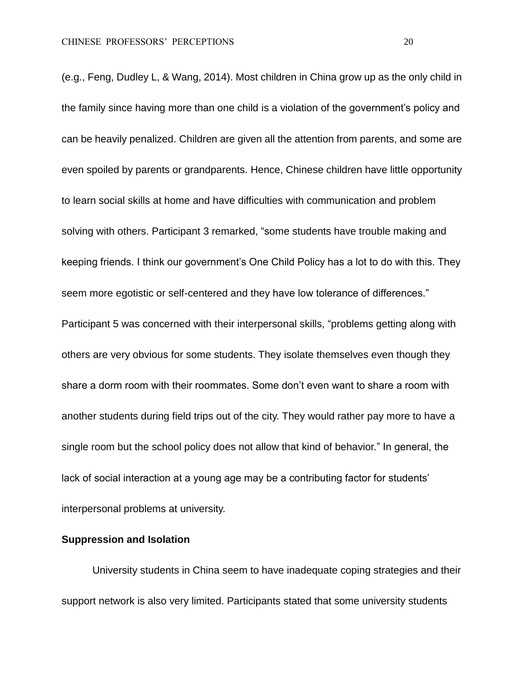(e.g., Feng, Dudley L, & Wang, 2014). Most children in China grow up as the only child in the family since having more than one child is a violation of the government's policy and can be heavily penalized. Children are given all the attention from parents, and some are even spoiled by parents or grandparents. Hence, Chinese children have little opportunity to learn social skills at home and have difficulties with communication and problem solving with others. Participant 3 remarked, "some students have trouble making and keeping friends. I think our government's One Child Policy has a lot to do with this. They seem more egotistic or self-centered and they have low tolerance of differences." Participant 5 was concerned with their interpersonal skills, "problems getting along with others are very obvious for some students. They isolate themselves even though they share a dorm room with their roommates. Some don't even want to share a room with another students during field trips out of the city. They would rather pay more to have a single room but the school policy does not allow that kind of behavior." In general, the lack of social interaction at a young age may be a contributing factor for students' interpersonal problems at university.

# **Suppression and Isolation**

University students in China seem to have inadequate coping strategies and their support network is also very limited. Participants stated that some university students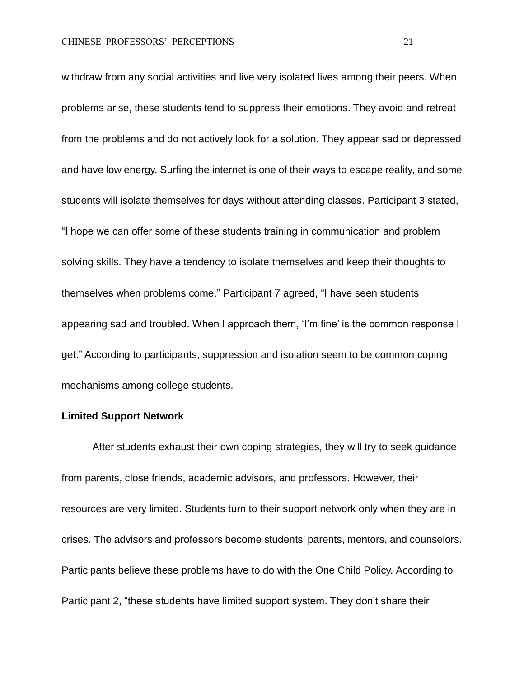withdraw from any social activities and live very isolated lives among their peers. When problems arise, these students tend to suppress their emotions. They avoid and retreat from the problems and do not actively look for a solution. They appear sad or depressed and have low energy. Surfing the internet is one of their ways to escape reality, and some students will isolate themselves for days without attending classes. Participant 3 stated, "I hope we can offer some of these students training in communication and problem solving skills. They have a tendency to isolate themselves and keep their thoughts to themselves when problems come." Participant 7 agreed, "I have seen students appearing sad and troubled. When I approach them, 'I'm fine' is the common response I get." According to participants, suppression and isolation seem to be common coping mechanisms among college students.

## **Limited Support Network**

After students exhaust their own coping strategies, they will try to seek guidance from parents, close friends, academic advisors, and professors. However, their resources are very limited. Students turn to their support network only when they are in crises. The advisors and professors become students' parents, mentors, and counselors. Participants believe these problems have to do with the One Child Policy. According to Participant 2, "these students have limited support system. They don't share their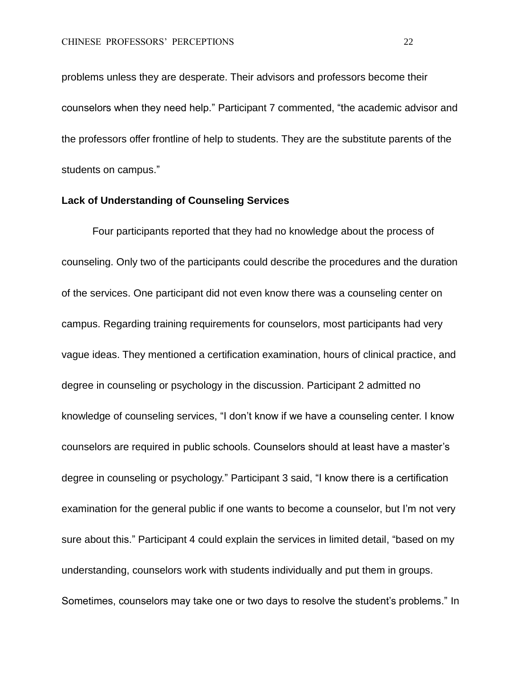problems unless they are desperate. Their advisors and professors become their counselors when they need help." Participant 7 commented, "the academic advisor and the professors offer frontline of help to students. They are the substitute parents of the students on campus."

# **Lack of Understanding of Counseling Services**

Four participants reported that they had no knowledge about the process of counseling. Only two of the participants could describe the procedures and the duration of the services. One participant did not even know there was a counseling center on campus. Regarding training requirements for counselors, most participants had very vague ideas. They mentioned a certification examination, hours of clinical practice, and degree in counseling or psychology in the discussion. Participant 2 admitted no knowledge of counseling services, "I don't know if we have a counseling center. I know counselors are required in public schools. Counselors should at least have a master's degree in counseling or psychology." Participant 3 said, "I know there is a certification examination for the general public if one wants to become a counselor, but I'm not very sure about this." Participant 4 could explain the services in limited detail, "based on my understanding, counselors work with students individually and put them in groups. Sometimes, counselors may take one or two days to resolve the student's problems." In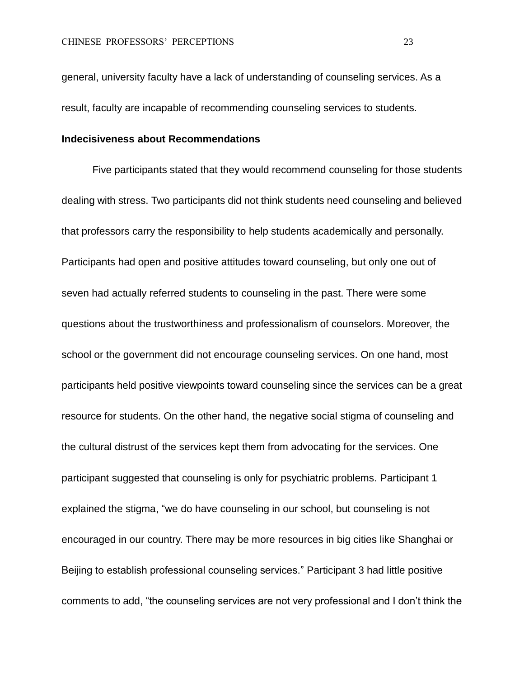general, university faculty have a lack of understanding of counseling services. As a result, faculty are incapable of recommending counseling services to students.

### **Indecisiveness about Recommendations**

Five participants stated that they would recommend counseling for those students dealing with stress. Two participants did not think students need counseling and believed that professors carry the responsibility to help students academically and personally. Participants had open and positive attitudes toward counseling, but only one out of seven had actually referred students to counseling in the past. There were some questions about the trustworthiness and professionalism of counselors. Moreover, the school or the government did not encourage counseling services. On one hand, most participants held positive viewpoints toward counseling since the services can be a great resource for students. On the other hand, the negative social stigma of counseling and the cultural distrust of the services kept them from advocating for the services. One participant suggested that counseling is only for psychiatric problems. Participant 1 explained the stigma, "we do have counseling in our school, but counseling is not encouraged in our country. There may be more resources in big cities like Shanghai or Beijing to establish professional counseling services." Participant 3 had little positive comments to add, "the counseling services are not very professional and I don't think the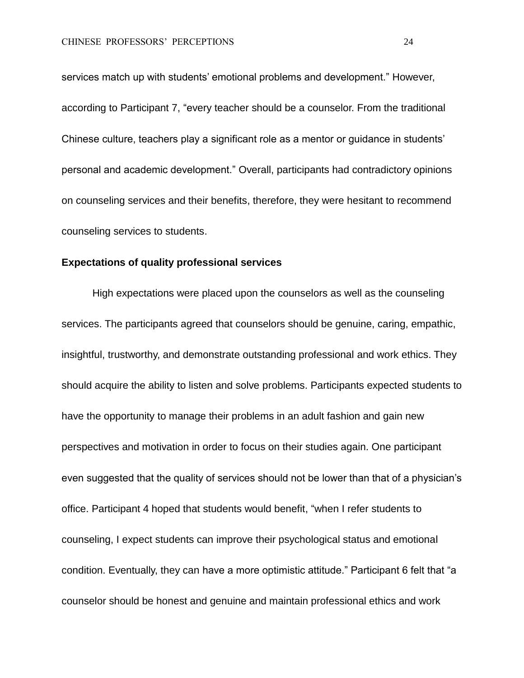services match up with students' emotional problems and development." However, according to Participant 7, "every teacher should be a counselor. From the traditional Chinese culture, teachers play a significant role as a mentor or guidance in students' personal and academic development." Overall, participants had contradictory opinions on counseling services and their benefits, therefore, they were hesitant to recommend counseling services to students.

## **Expectations of quality professional services**

High expectations were placed upon the counselors as well as the counseling services. The participants agreed that counselors should be genuine, caring, empathic, insightful, trustworthy, and demonstrate outstanding professional and work ethics. They should acquire the ability to listen and solve problems. Participants expected students to have the opportunity to manage their problems in an adult fashion and gain new perspectives and motivation in order to focus on their studies again. One participant even suggested that the quality of services should not be lower than that of a physician's office. Participant 4 hoped that students would benefit, "when I refer students to counseling, I expect students can improve their psychological status and emotional condition. Eventually, they can have a more optimistic attitude." Participant 6 felt that "a counselor should be honest and genuine and maintain professional ethics and work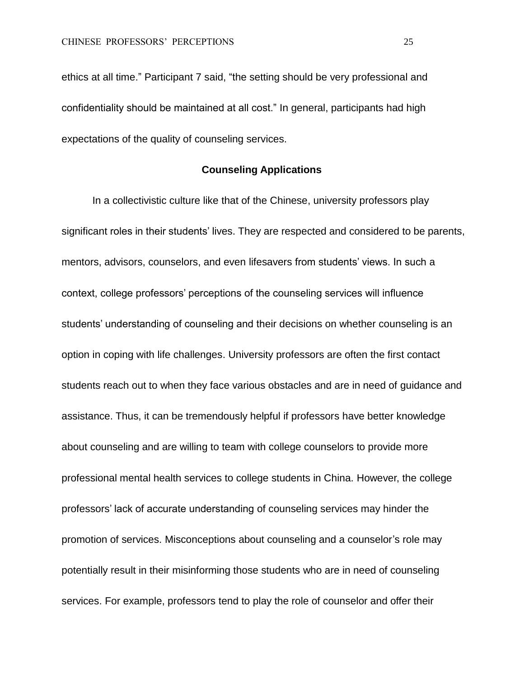ethics at all time." Participant 7 said, "the setting should be very professional and confidentiality should be maintained at all cost." In general, participants had high expectations of the quality of counseling services.

# **Counseling Applications**

In a collectivistic culture like that of the Chinese, university professors play significant roles in their students' lives. They are respected and considered to be parents, mentors, advisors, counselors, and even lifesavers from students' views. In such a context, college professors' perceptions of the counseling services will influence students' understanding of counseling and their decisions on whether counseling is an option in coping with life challenges. University professors are often the first contact students reach out to when they face various obstacles and are in need of guidance and assistance. Thus, it can be tremendously helpful if professors have better knowledge about counseling and are willing to team with college counselors to provide more professional mental health services to college students in China. However, the college professors' lack of accurate understanding of counseling services may hinder the promotion of services. Misconceptions about counseling and a counselor's role may potentially result in their misinforming those students who are in need of counseling services. For example, professors tend to play the role of counselor and offer their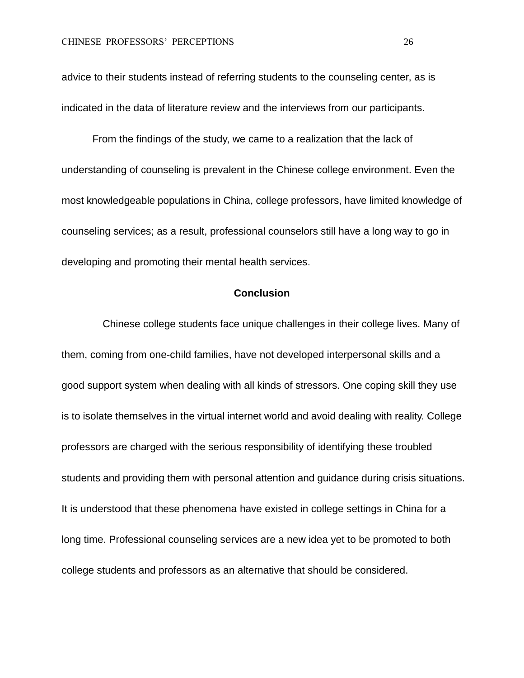advice to their students instead of referring students to the counseling center, as is indicated in the data of literature review and the interviews from our participants.

From the findings of the study, we came to a realization that the lack of understanding of counseling is prevalent in the Chinese college environment. Even the most knowledgeable populations in China, college professors, have limited knowledge of counseling services; as a result, professional counselors still have a long way to go in developing and promoting their mental health services.

# **Conclusion**

Chinese college students face unique challenges in their college lives. Many of them, coming from one-child families, have not developed interpersonal skills and a good support system when dealing with all kinds of stressors. One coping skill they use is to isolate themselves in the virtual internet world and avoid dealing with reality. College professors are charged with the serious responsibility of identifying these troubled students and providing them with personal attention and guidance during crisis situations. It is understood that these phenomena have existed in college settings in China for a long time. Professional counseling services are a new idea yet to be promoted to both college students and professors as an alternative that should be considered.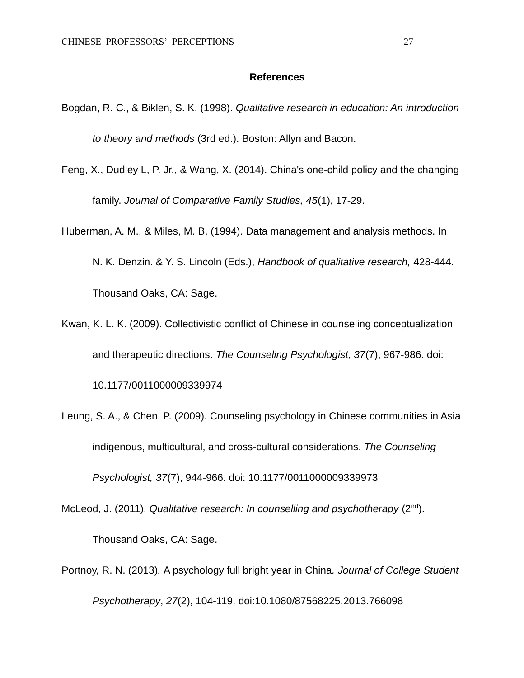### **References**

- Bogdan, R. C., & Biklen, S. K. (1998). *Qualitative research in education: An introduction to theory and methods* (3rd ed.). Boston: Allyn and Bacon.
- Feng, X., Dudley L, P. Jr., & Wang, X. (2014). China's one-child policy and the changing family. *Journal of Comparative Family Studies, 45*(1), 17-29.
- Huberman, A. M., & Miles, M. B. (1994). Data management and analysis methods. In N. K. Denzin. & Y. S. Lincoln (Eds.), *Handbook of qualitative research,* 428-444. Thousand Oaks, CA: Sage.
- Kwan, K. L. K. (2009). Collectivistic conflict of Chinese in counseling conceptualization and therapeutic directions. *The Counseling Psychologist, 37*(7), 967-986. doi: 10.1177/0011000009339974
- Leung, S. A., & Chen, P. (2009). Counseling psychology in Chinese communities in Asia indigenous, multicultural, and cross-cultural considerations. *The Counseling Psychologist, 37*(7), 944-966. doi: 10.1177/0011000009339973
- McLeod, J. (2011). *Qualitative research: In counselling and psychotherapy* (2<sup>nd</sup>). Thousand Oaks, CA: Sage.
- Portnoy, R. N. (2013)*.* A psychology full bright year in China*. Journal of College Student Psychotherapy*, *27*(2), 104-119. doi:10.1080/87568225.2013.766098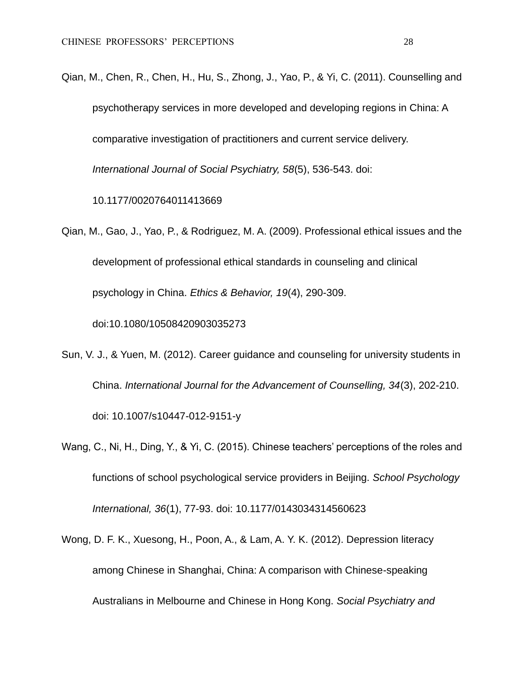Qian, M., Chen, R., Chen, H., Hu, S., Zhong, J., Yao, P., & Yi, C. (2011). Counselling and psychotherapy services in more developed and developing regions in China: A comparative investigation of practitioners and current service delivery. *International Journal of Social Psychiatry, 58*(5), 536-543. doi:

10.1177/0020764011413669

- Qian, M., Gao, J., Yao, P., & Rodriguez, M. A. (2009). Professional ethical issues and the development of professional ethical standards in counseling and clinical psychology in China. *Ethics & Behavior, 19*(4), 290-309. doi:10.1080/10508420903035273
- Sun, V. J., & Yuen, M. (2012). Career guidance and counseling for university students in China. *International Journal for the Advancement of Counselling, 34*(3), 202-210. doi: 10.1007/s10447-012-9151-y
- Wang, C., Ni, H., Ding, Y., & Yi, C. (2015). Chinese teachers' perceptions of the roles and functions of school psychological service providers in Beijing. *School Psychology International, 36*(1), 77-93. doi: 10.1177/0143034314560623
- Wong, D. F. K., Xuesong, H., Poon, A., & Lam, A. Y. K. (2012). Depression literacy among Chinese in Shanghai, China: A comparison with Chinese-speaking Australians in Melbourne and Chinese in Hong Kong. *Social Psychiatry and*